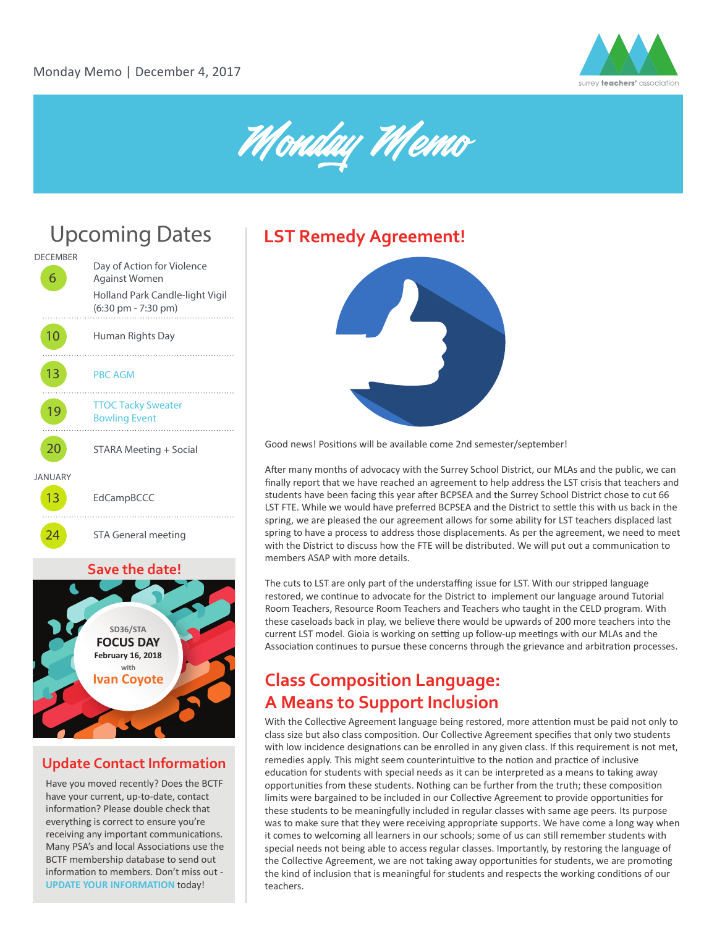





#### **Save the date!**



### **Update Contact Information**

Have you moved recently? Does the BCTF have your current, up-to-date, contact information? Please double check that everything is correct to ensure you're receiving any important communications. Many PSA's and local Associations use the BCTF membership database to send out information to members. Don't miss out -**[UPDATE YOUR INFORMATION](https://members.bctf.ca/profile.aspx)** today!



20 STARA Meeting + Social Good news! Positions will be available come 2nd semester/september!

A�er many months of advocacy with the Surrey School District, our MLAs and the public, we can finally report that we have reached an agreement to help address the LST crisis that teachers and students have been facing this year after BCPSEA and the Surrey School District chose to cut 66 LST FTE. While we would have preferred BCPSEA and the District to settle this with us back in the spring, we are pleased the our agreement allows for some ability for LST teachers displaced last spring to have a process to address those displacements. As per the agreement, we need to meet with the District to discuss how the FTE will be distributed. We will put out a communication to members ASAP with more details.

The cuts to LST are only part of the understaffing issue for LST. With our stripped language restored, we continue to advocate for the District to implement our language around Tutorial Room Teachers, Resource Room Teachers and Teachers who taught in the CELD program. With these caseloads back in play, we believe there would be upwards of 200 more teachers into the current LST model. Gioia is working on setting up follow-up meetings with our MLAs and the Association continues to pursue these concerns through the grievance and arbitration processes.

### **Class Composition Language: A Means to Support Inclusion**

With the Collective Agreement language being restored, more attention must be paid not only to class size but also class composition. Our Collective Agreement specifies that only two students with low incidence designations can be enrolled in any given class. If this requirement is not met, remedies apply. This might seem counterintuitive to the notion and practice of inclusive education for students with special needs as it can be interpreted as a means to taking away opportunities from these students. Nothing can be further from the truth; these composition limits were bargained to be included in our Collective Agreement to provide opportunities for these students to be meaningfully included in regular classes with same age peers. Its purpose was to make sure that they were receiving appropriate supports. We have come a long way when it comes to welcoming all learners in our schools; some of us can still remember students with special needs not being able to access regular classes. Importantly, by restoring the language of the Collective Agreement, we are not taking away opportunities for students, we are promoting the kind of inclusion that is meaningful for students and respects the working conditions of our teachers.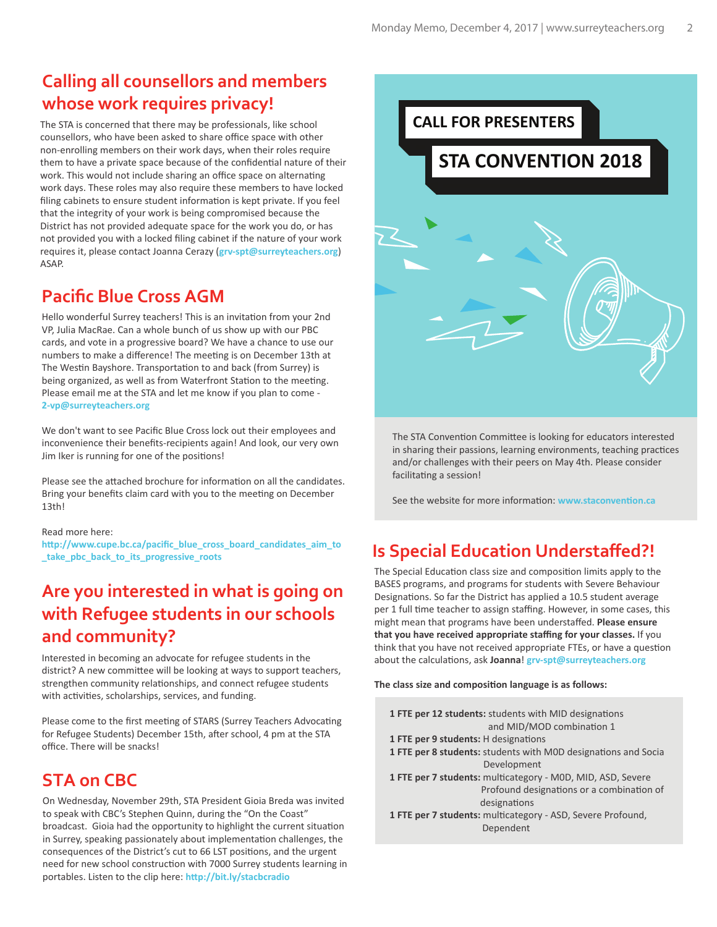## **Calling all counsellors and members whose work requires privacy!**

The STA is concerned that there may be professionals, like school counsellors, who have been asked to share office space with other non-enrolling members on their work days, when their roles require them to have a private space because of the confidential nature of their work. This would not include sharing an office space on alternating work days. These roles may also require these members to have locked filing cabinets to ensure student information is kept private. If you feel that the integrity of your work is being compromised because the District has not provided adequate space for the work you do, or has not provided you with a locked filing cabinet if the nature of your work requires it, please contact Joanna Cerazy (**grv-spt@surreyteachers.org**) ASAP.

### **Pacific Blue Cross AGM**

Hello wonderful Surrey teachers! This is an invitation from your 2nd VP, Julia MacRae. Can a whole bunch of us show up with our PBC cards, and vote in a progressive board? We have a chance to use our numbers to make a difference! The meeting is on December 13th at The Westin Bayshore. Transportation to and back (from Surrey) is being organized, as well as from Waterfront Station to the meeting. Please email me at the STA and let me know if you plan to come - **2-vp@surreyteachers.org** 

We don't want to see Pacific Blue Cross lock out their employees and inconvenience their benefits-recipients again! And look, our very own Jim Iker is running for one of the positions!

Please see the attached brochure for information on all the candidates. Bring your benefits claim card with you to the meeting on December 13th!

#### Read more here:

**[h�p://www.cupe.bc.ca/pacific\\_blue\\_cross\\_board\\_candidates\\_aim\\_to](http://www.cupe.bc.ca/pacific_blue_cross_board_candidates_aim_to_take_pbc_back_to_its_progressive_roots) \_take\_pbc\_back\_to\_its\_progressive\_roots**

### **Are you interested in what is going on with Refugee students in our schools and community?**

Interested in becoming an advocate for refugee students in the district? A new committee will be looking at ways to support teachers, strengthen community relationships, and connect refugee students with activities, scholarships, services, and funding.

Please come to the first meeting of STARS (Surrey Teachers Advocating for Refugee Students) December 15th, after school, 4 pm at the STA office. There will be snacks!

### **STA on CBC**

On Wednesday, November 29th, STA President Gioia Breda was invited to speak with CBC's Stephen Quinn, during the "On the Coast" broadcast. Gioia had the opportunity to highlight the current situation in Surrey, speaking passionately about implementation challenges, the consequences of the District's cut to 66 LST positions, and the urgent need for new school construction with 7000 Surrey students learning in portables. Listen to the clip here: **[h�p://bit.ly/stacbcradio](http://bit.ly/stacbcradio)** 



The STA Convention Committee is looking for educators interested in sharing their passions, learning environments, teaching practices and/or challenges with their peers on May 4th. Please consider facilitating a session!

See the website for more information: www.staconvention.ca

## **Is Special Education Understaffed?!**

The Special Education class size and composition limits apply to the BASES programs, and programs for students with Severe Behaviour Designations. So far the District has applied a 10.5 student average per 1 full time teacher to assign staffing. However, in some cases, this might mean that programs have been understaffed. **Please ensure that you have received appropriate staffing for your classes.** If you think that you have not received appropriate FTEs, or have a question about the calculations, ask **Joanna**! **grv-spt@surreyteachers.org** 

**The class size and composi�on language is as follows:**

| 1 FTE per 12 students: students with MID designations          |
|----------------------------------------------------------------|
| and MID/MOD combination 1                                      |
| 1 FTE per 9 students: H designations                           |
| 1 FTE per 8 students: students with MOD designations and Socia |
| Development                                                    |
| 1 FTE per 7 students: multicategory - MOD, MID, ASD, Severe    |
| Profound designations or a combination of                      |
| designations                                                   |
| 1 FTE per 7 students: multicategory - ASD, Severe Profound,    |
| Dependent                                                      |
|                                                                |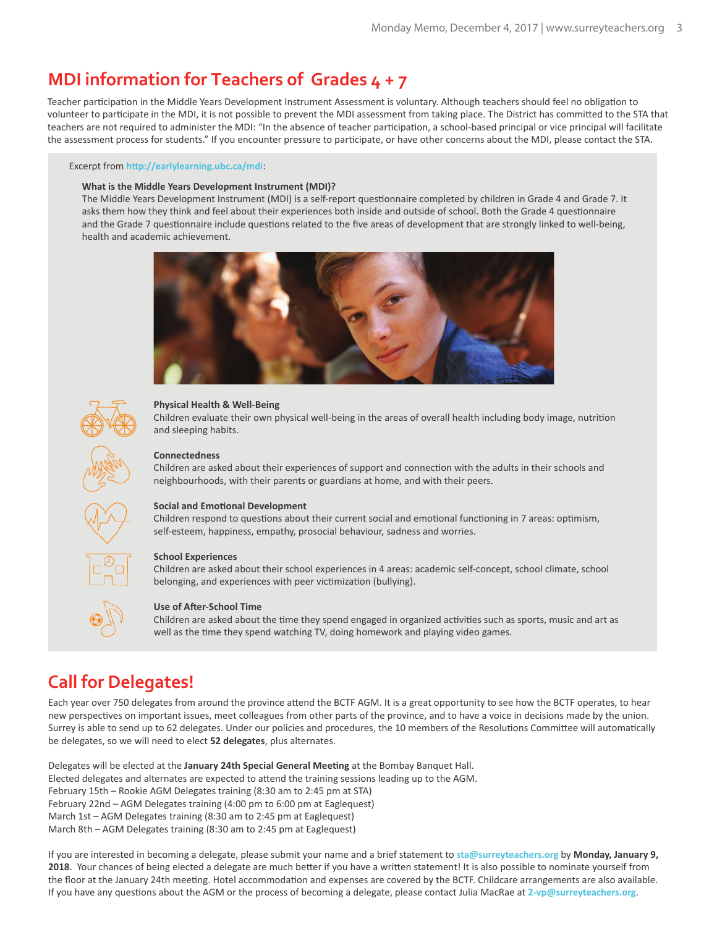### **MDI information for Teachers of Grades 4 + 7**

Teacher participation in the Middle Years Development Instrument Assessment is voluntary. Although teachers should feel no obligation to volunteer to participate in the MDI, it is not possible to prevent the MDI assessment from taking place. The District has committed to the STA that teachers are not required to administer the MDI: "In the absence of teacher participation, a school-based principal or vice principal will facilitate the assessment process for students." If you encounter pressure to par�cipate, or have other concerns about the MDI, please contact the STA.

#### Excerpt from **[h�p://earlylearning.ubc.ca/mdi](http://earlylearning.ubc.ca/mdi/)**:

#### **What is the Middle Years Development Instrument (MDI)?**

The Middle Years Development Instrument (MDI) is a self-report questionnaire completed by children in Grade 4 and Grade 7. It asks them how they think and feel about their experiences both inside and outside of school. Both the Grade 4 questionnaire and the Grade 7 questionnaire include questions related to the five areas of development that are strongly linked to well-being, health and academic achievement.





#### **Physical Health & Well-Being**

Children evaluate their own physical well-being in the areas of overall health including body image, nutri�on and sleeping habits.



#### **Connectedness**

Children are asked about their experiences of support and connection with the adults in their schools and neighbourhoods, with their parents or guardians at home, and with their peers.



#### **Social and Emotional Development**

Children respond to questions about their current social and emotional functioning in 7 areas: optimism, self-esteem, happiness, empathy, prosocial behaviour, sadness and worries.



#### **School Experiences**

Children are asked about their school experiences in 4 areas: academic self-concept, school climate, school belonging, and experiences with peer victimization (bullying).



#### **Use of After-School Time**

Children are asked about the time they spend engaged in organized activities such as sports, music and art as well as the time they spend watching TV, doing homework and playing video games.

## **Call for Delegates!**

Each year over 750 delegates from around the province attend the BCTF AGM. It is a great opportunity to see how the BCTF operates, to hear new perspectives on important issues, meet colleagues from other parts of the province, and to have a voice in decisions made by the union. Surrey is able to send up to 62 delegates. Under our policies and procedures, the 10 members of the Resolutions Committee will automatically be delegates, so we will need to elect **52 delegates**, plus alternates.

Delegates will be elected at the **January 24th Special General Mee�ng** at the Bombay Banquet Hall. Elected delegates and alternates are expected to attend the training sessions leading up to the AGM. February 15th – Rookie AGM Delegates training (8:30 am to 2:45 pm at STA) February 22nd – AGM Delegates training (4:00 pm to 6:00 pm at Eaglequest) March 1st – AGM Delegates training (8:30 am to 2:45 pm at Eaglequest) March 8th – AGM Delegates training (8:30 am to 2:45 pm at Eaglequest)

If you are interested in becoming a delegate, please submit your name and a brief statement to **sta@surreyteachers.org** by **Monday, January 9,**  2018. Your chances of being elected a delegate are much better if you have a written statement! It is also possible to nominate yourself from the floor at the January 24th meeting. Hotel accommodation and expenses are covered by the BCTF. Childcare arrangements are also available. If you have any questions about the AGM or the process of becoming a delegate, please contact Julia MacRae at 2-vp@surreyteachers.org.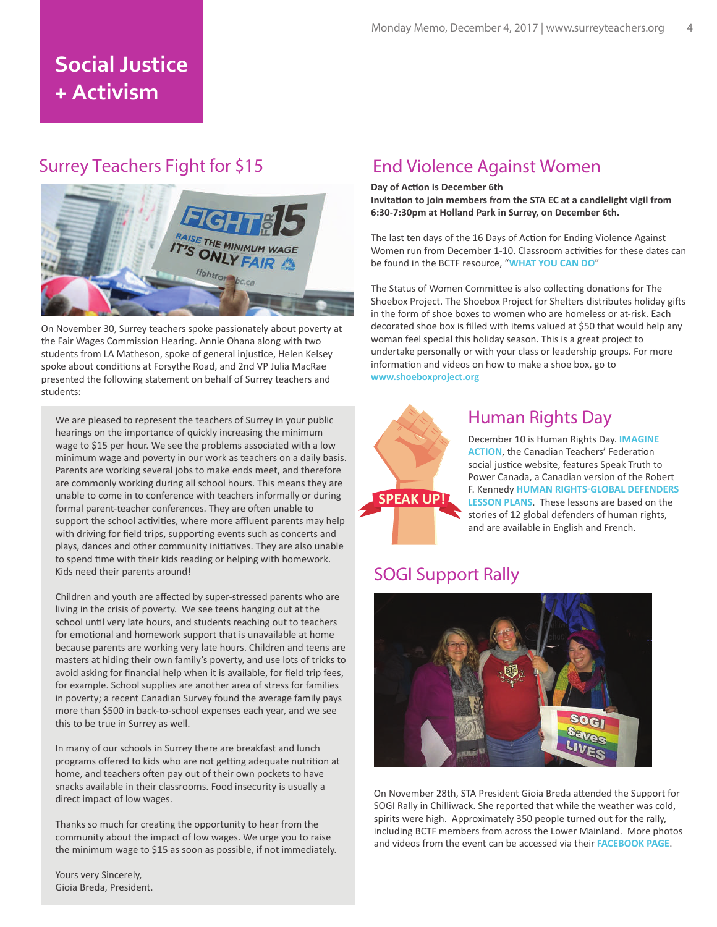# **Social Justice + Activism**

### Surrey Teachers Fight for \$15



On November 30, Surrey teachers spoke passionately about poverty at the Fair Wages Commission Hearing. Annie Ohana along with two students from LA Matheson, spoke of general injustice, Helen Kelsey spoke about conditions at Forsythe Road, and 2nd VP Julia MacRae presented the following statement on behalf of Surrey teachers and students:

We are pleased to represent the teachers of Surrey in your public hearings on the importance of quickly increasing the minimum wage to \$15 per hour. We see the problems associated with a low minimum wage and poverty in our work as teachers on a daily basis. Parents are working several jobs to make ends meet, and therefore are commonly working during all school hours. This means they are unable to come in to conference with teachers informally or during formal parent-teacher conferences. They are often unable to support the school activities, where more affluent parents may help with driving for field trips, supporting events such as concerts and plays, dances and other community initiatives. They are also unable to spend time with their kids reading or helping with homework. Kids need their parents around!

Children and youth are affected by super-stressed parents who are living in the crisis of poverty. We see teens hanging out at the school until very late hours, and students reaching out to teachers for emotional and homework support that is unavailable at home because parents are working very late hours. Children and teens are masters at hiding their own family's poverty, and use lots of tricks to avoid asking for financial help when it is available, for field trip fees, for example. School supplies are another area of stress for families in poverty; a recent Canadian Survey found the average family pays more than \$500 in back-to-school expenses each year, and we see this to be true in Surrey as well.

In many of our schools in Surrey there are breakfast and lunch programs offered to kids who are not getting adequate nutrition at home, and teachers often pay out of their own pockets to have snacks available in their classrooms. Food insecurity is usually a direct impact of low wages.

Thanks so much for creating the opportunity to hear from the community about the impact of low wages. We urge you to raise the minimum wage to \$15 as soon as possible, if not immediately.

Yours very Sincerely, Gioia Breda, President.

### End Violence Against Women

#### **Day of Action is December 6th**

**Invitation to join members from the STA EC at a candlelight vigil from 6:30-7:30pm at Holland Park in Surrey, on December 6th.**

The last ten days of the 16 Days of Action for Ending Violence Against Women run from December 1-10. Classroom activities for these dates can be found in the BCTF resource, "**[WHAT YOU CAN DO](http://www.bctf.ca/uploadedFiles/Public/SocialJustice/Issues/SW/16Days.pdf)**"

The Status of Women Committee is also collecting donations for The Shoebox Project. The Shoebox Project for Shelters distributes holiday gifts in the form of shoe boxes to women who are homeless or at-risk. Each decorated shoe box is filled with items valued at \$50 that would help any woman feel special this holiday season. This is a great project to undertake personally or with your class or leadership groups. For more information and videos on how to make a shoe box, go to **<www.shoeboxproject.org>**



### Human Rights Day

December 10 is Human Rights Day. **[IMAGINE](https://www.imagine-action.ca/)  [ACTION](https://www.imagine-action.ca/)**, the Canadian Teachers' Federation social justice website, features Speak Truth to Power Canada, a Canadian version of the Robert F. Kennedy **[HUMAN RIGHTS-GLOBAL DEFENDERS](http://sttpcanada.ctf-fce.ca/lessons/)  [LESSON PLANS](http://sttpcanada.ctf-fce.ca/lessons/)**. These lessons are based on the stories of 12 global defenders of human rights, and are available in English and French.

### SOGI Support Rally



On November 28th, STA President Gioia Breda attended the Support for SOGI Rally in Chilliwack. She reported that while the weather was cold, spirits were high. Approximately 350 people turned out for the rally, including BCTF members from across the Lower Mainland. More photos and videos from the event can be accessed via their **[FACEBOOK PAGE](https://www.facebook.com/events/141647163266953/)**.